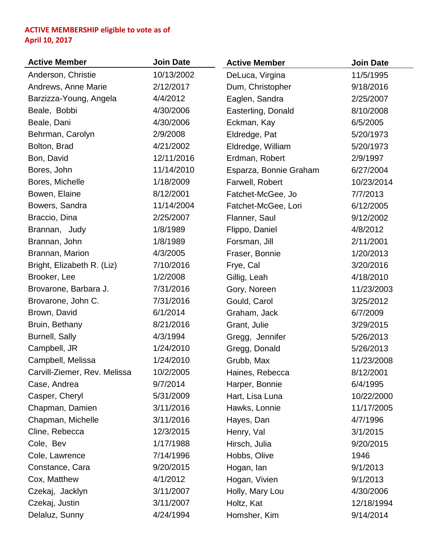## **ACTIVE MEMBERSHIP eligible to vote as of April 10, 2017**

| <b>Active Member</b>         | <b>Join Date</b> | <b>Active Member</b>   | <b>Join Date</b> |
|------------------------------|------------------|------------------------|------------------|
| Anderson, Christie           | 10/13/2002       | DeLuca, Virgina        | 11/5/1995        |
| Andrews, Anne Marie          | 2/12/2017        | Dum, Christopher       | 9/18/2016        |
| Barzizza-Young, Angela       | 4/4/2012         | Eaglen, Sandra         | 2/25/2007        |
| Beale, Bobbi                 | 4/30/2006        | Easterling, Donald     | 8/10/2008        |
| Beale, Dani                  | 4/30/2006        | Eckman, Kay            | 6/5/2005         |
| Behrman, Carolyn             | 2/9/2008         | Eldredge, Pat          | 5/20/1973        |
| Bolton, Brad                 | 4/21/2002        | Eldredge, William      | 5/20/1973        |
| Bon, David                   | 12/11/2016       | Erdman, Robert         | 2/9/1997         |
| Bores, John                  | 11/14/2010       | Esparza, Bonnie Graham | 6/27/2004        |
| Bores, Michelle              | 1/18/2009        | Farwell, Robert        | 10/23/2014       |
| Bowen, Elaine                | 8/12/2001        | Fatchet-McGee, Jo      | 7/7/2013         |
| Bowers, Sandra               | 11/14/2004       | Fatchet-McGee, Lori    | 6/12/2005        |
| Braccio, Dina                | 2/25/2007        | Flanner, Saul          | 9/12/2002        |
| Brannan, Judy                | 1/8/1989         | Flippo, Daniel         | 4/8/2012         |
| Brannan, John                | 1/8/1989         | Forsman, Jill          | 2/11/2001        |
| Brannan, Marion              | 4/3/2005         | Fraser, Bonnie         | 1/20/2013        |
| Bright, Elizabeth R. (Liz)   | 7/10/2016        | Frye, Cal              | 3/20/2016        |
| Brooker, Lee                 | 1/2/2008         | Gillig, Leah           | 4/18/2010        |
| Brovarone, Barbara J.        | 7/31/2016        | Gory, Noreen           | 11/23/2003       |
| Brovarone, John C.           | 7/31/2016        | Gould, Carol           | 3/25/2012        |
| Brown, David                 | 6/1/2014         | Graham, Jack           | 6/7/2009         |
| Bruin, Bethany               | 8/21/2016        | Grant, Julie           | 3/29/2015        |
| <b>Burnell, Sally</b>        | 4/3/1994         | Gregg, Jennifer        | 5/26/2013        |
| Campbell, JR                 | 1/24/2010        | Gregg, Donald          | 5/26/2013        |
| Campbell, Melissa            | 1/24/2010        | Grubb, Max             | 11/23/2008       |
| Carvill-Ziemer, Rev. Melissa | 10/2/2005        | Haines, Rebecca        | 8/12/2001        |
| Case, Andrea                 | 9/7/2014         | Harper, Bonnie         | 6/4/1995         |
| Casper, Cheryl               | 5/31/2009        | Hart, Lisa Luna        | 10/22/2000       |
| Chapman, Damien              | 3/11/2016        | Hawks, Lonnie          | 11/17/2005       |
| Chapman, Michelle            | 3/11/2016        | Hayes, Dan             | 4/7/1996         |
| Cline, Rebecca               | 12/3/2015        | Henry, Val             | 3/1/2015         |
| Cole, Bev                    | 1/17/1988        | Hirsch, Julia          | 9/20/2015        |
| Cole, Lawrence               | 7/14/1996        | Hobbs, Olive           | 1946             |
| Constance, Cara              | 9/20/2015        | Hogan, lan             | 9/1/2013         |
| Cox, Matthew                 | 4/1/2012         | Hogan, Vivien          | 9/1/2013         |
| Czekaj, Jacklyn              | 3/11/2007        | Holly, Mary Lou        | 4/30/2006        |
| Czekaj, Justin               | 3/11/2007        | Holtz, Kat             | 12/18/1994       |
| Delaluz, Sunny               | 4/24/1994        | Homsher, Kim           | 9/14/2014        |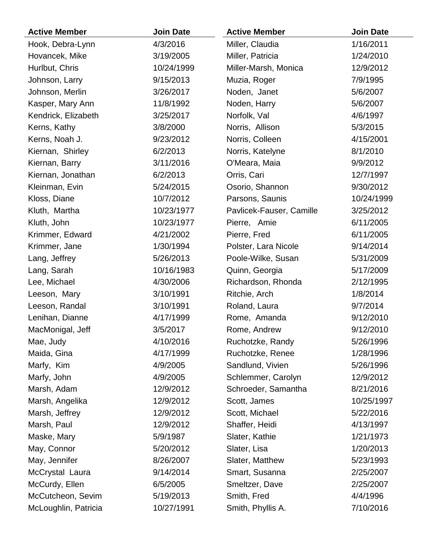| <b>Active Member</b> | <b>Join Date</b> | <b>Active Member</b>     | <b>Join Date</b> |
|----------------------|------------------|--------------------------|------------------|
| Hook, Debra-Lynn     | 4/3/2016         | Miller, Claudia          | 1/16/2011        |
| Hovancek, Mike       | 3/19/2005        | Miller, Patricia         | 1/24/2010        |
| Hurlbut, Chris       | 10/24/1999       | Miller-Marsh, Monica     | 12/9/2012        |
| Johnson, Larry       | 9/15/2013        | Muzia, Roger             | 7/9/1995         |
| Johnson, Merlin      | 3/26/2017        | Noden, Janet             | 5/6/2007         |
| Kasper, Mary Ann     | 11/8/1992        | Noden, Harry             | 5/6/2007         |
| Kendrick, Elizabeth  | 3/25/2017        | Norfolk, Val             | 4/6/1997         |
| Kerns, Kathy         | 3/8/2000         | Norris, Allison          | 5/3/2015         |
| Kerns, Noah J.       | 9/23/2012        | Norris, Colleen          | 4/15/2001        |
| Kiernan, Shirley     | 6/2/2013         | Norris, Katelyne         | 8/1/2010         |
| Kiernan, Barry       | 3/11/2016        | O'Meara, Maia            | 9/9/2012         |
| Kiernan, Jonathan    | 6/2/2013         | Orris, Cari              | 12/7/1997        |
| Kleinman, Evin       | 5/24/2015        | Osorio, Shannon          | 9/30/2012        |
| Kloss, Diane         | 10/7/2012        | Parsons, Saunis          | 10/24/1999       |
| Kluth, Martha        | 10/23/1977       | Pavlicek-Fauser, Camille | 3/25/2012        |
| Kluth, John          | 10/23/1977       | Pierre, Amie             | 6/11/2005        |
| Krimmer, Edward      | 4/21/2002        | Pierre, Fred             | 6/11/2005        |
| Krimmer, Jane        | 1/30/1994        | Polster, Lara Nicole     | 9/14/2014        |
| Lang, Jeffrey        | 5/26/2013        | Poole-Wilke, Susan       | 5/31/2009        |
| Lang, Sarah          | 10/16/1983       | Quinn, Georgia           | 5/17/2009        |
| Lee, Michael         | 4/30/2006        | Richardson, Rhonda       | 2/12/1995        |
| Leeson, Mary         | 3/10/1991        | Ritchie, Arch            | 1/8/2014         |
| Leeson, Randal       | 3/10/1991        | Roland, Laura            | 9/7/2014         |
| Lenihan, Dianne      | 4/17/1999        | Rome, Amanda             | 9/12/2010        |
| MacMonigal, Jeff     | 3/5/2017         | Rome, Andrew             | 9/12/2010        |
| Mae, Judy            | 4/10/2016        | Ruchotzke, Randy         | 5/26/1996        |
| Maida, Gina          | 4/17/1999        | Ruchotzke, Renee         | 1/28/1996        |
| Marfy, Kim           | 4/9/2005         | Sandlund, Vivien         | 5/26/1996        |
| Marfy, John          | 4/9/2005         | Schlemmer, Carolyn       | 12/9/2012        |
| Marsh, Adam          | 12/9/2012        | Schroeder, Samantha      | 8/21/2016        |
| Marsh, Angelika      | 12/9/2012        | Scott, James             | 10/25/1997       |
| Marsh, Jeffrey       | 12/9/2012        | Scott, Michael           | 5/22/2016        |
| Marsh, Paul          | 12/9/2012        | Shaffer, Heidi           | 4/13/1997        |
| Maske, Mary          | 5/9/1987         | Slater, Kathie           | 1/21/1973        |
| May, Connor          | 5/20/2012        | Slater, Lisa             | 1/20/2013        |
| May, Jennifer        | 8/26/2007        | Slater, Matthew          | 5/23/1993        |
| McCrystal Laura      | 9/14/2014        | Smart, Susanna           | 2/25/2007        |
| McCurdy, Ellen       | 6/5/2005         | Smeltzer, Dave           | 2/25/2007        |
| McCutcheon, Sevim    | 5/19/2013        | Smith, Fred              | 4/4/1996         |
| McLoughlin, Patricia | 10/27/1991       | Smith, Phyllis A.        | 7/10/2016        |